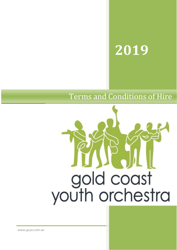# 2019

# **Terms and Conditions of Hire**



www.gcyo.com.au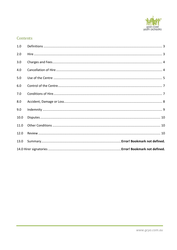

# Contents

| 1.0  |  |
|------|--|
| 2.0  |  |
| 3.0  |  |
| 4.0  |  |
| 5.0  |  |
| 6.0  |  |
| 7.0  |  |
| 8.0  |  |
| 9.0  |  |
| 10.0 |  |
| 11.0 |  |
| 12.0 |  |
| 13.0 |  |
|      |  |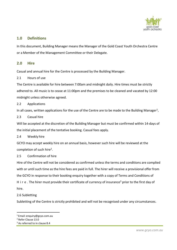

# <span id="page-2-0"></span>**1.0 Definitions**

In this document, Building Manager means the Manager of the Gold Coast Youth Orchestra Centre or a Member of the Management Committee or their Delegate.

## <span id="page-2-1"></span>**2.0 Hire**

Casual and annual hire for the Centre is processed by the Building Manager.

#### 2.1 Hours of use

The Centre is available for hire between 7:00am and midnight daily. Hire times must be strictly adhered to. All music is to cease at 11:00pm and the premises to be cleaned and vacated by 12:00 midnight unless otherwise agreed.

2.2 Applications

In all cases, written applications for the use of the Centre are to be made to the Building Manager<sup>[1](#page-2-2)</sup>,

#### 2.3 Casual hire

Will be accepted at the discretion of the Building Manager but must be confirmed within 14-days of the initial placement of the tentative booking. Casual fees apply.

2.4 Weekly hire

GCYO may accept weekly hire on an annual basis, however such hire will be reviewed at the completion of such hire<sup>[2](#page-2-3)</sup>.

### 2.5 Confirmation of hire

Hire of the Centre will not be considered as confirmed unless the terms and conditions are complied with or until such time as the hire fees are paid in full. The hirer will receive a provisional offer from the GCYO in response to their booking enquiry together with a copy of Terms and Conditions of H i r e . The hirer must provide their certificate of currency of insurance<sup>[3](#page-2-4)</sup> prior to the first day of hire.

#### 2.6 Subletting

Subletting of the Centre is strictly prohibited and will not be recognised under any circumstances.

<span id="page-2-2"></span><sup>1</sup> Email: [enquiry@gcyo.com.au](mailto:enquiry@gcyo.com.au)

<span id="page-2-3"></span><sup>2</sup> Refer Clause 13.0

<span id="page-2-4"></span> $3$  As referred to in clause 8.4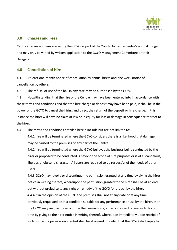

# <span id="page-3-0"></span>**3.0 Charges and Fees**

Centre charges and fees are set by the GCYO as part of the Youth Orchestra Centre's annual budget and may only be varied by written application to the GCYO Management Committee or their Delegate.

# <span id="page-3-1"></span>**4.0 Cancellation of Hire**

4.1 At least one-month notice of cancellation by annual hirers and one week notice of cancellation by others.

4.2 The refusal of use of the hall in any case may be authorised by the GCYO.

4.3 Notwithstanding that the hire of the Centre may have been entered into in accordance with these terms and conditions and that the hire charge or deposit may have been paid, it shall be in the power of the GCYO to cancel the hiring and direct the return of the deposit or hire charge. In this instance the hirer will have no claim at law or in equity for loss or damage in consequence thereof to the hirer.

4.4 The terms and conditions detailed herein include but are not limited to:

4.4.1 hire will be terminated where the GCYO considersthere is a likelihood that damage may be caused to the premises or any part of the Centre

4.4.2 hire will be terminated where the GCYO believes the business being conducted by the hirer or proposed to be conducted is beyond the scope of hire purposes or is of a scandalous, libelous or obscene character. All users are required to be respectful of the needs of other users.

4.4.3 GCYO may revoke or discontinue the permission granted at any time by giving the hirer notice in writing thereof, whereupon the permission granted to the hirer shall be at an end but without prejudice to any right or remedy of the GCYO for breach by the hirer. 4.4.4 If in the opinion of the GCYO the premises shall not at any date or at any time previously requested be in a condition suitable for any performance or use by the hirer, then the GCYO may revoke or discontinue the permission granted in respect of any such day or time by giving to the hirer notice in writing thereof, whereupon immediately upon receipt of such notice the permission granted shall be at an end provided that the GCYO shall repay to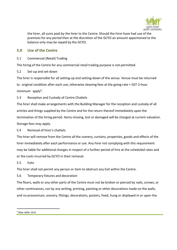

the hirer, all sums paid by the hirer to the Centre. Should the hirer have had use of the premises for any period then at the discretion of the GCYO an amount apportioned to the balance only may be repaid by the GCYO.

# <span id="page-4-0"></span>**5.0 Use of the Centre**

5.1 Commercial (Retail) Trading

The hiring of the Centre for any commercial retail trading purpose is not permitted.

5.2 Set-up and set-down

The hirer is responsible for all setting-up and setting-down of the venue. Venue must be returned to original condition after each use; otherwise cleaning fees at the going-rate + GST 2-hour minimum apply<sup>[4](#page-4-1)</sup>.

5.3 Reception and Custody of Centre Chattels

The hirer shall make arrangements with the Building Manager for the reception and custody of all articles and things supplied by the Centre and for the return thereof immediately upon the termination of the hiring period. Items missing, lost or damaged will be charged at current valuation. Storage fees may apply.

5.4 Removal of hirer's chattels

The hirer will remove from the Centre all the scenery, curtains, properties, goods and effects of the hirer immediately after each performance or use. Any hirer not complying with this requirement may be liable for additional charges in respect of a further period of hire at the scheduled rates and or the costs incurred by GCYO in their removal.

5.5 Exits

The hirer shall not permit any person or item to obstruct any Exit within the Centre.

5.6 Temporary fixtures and decoration

The floors, walls or any other parts of the Centre must not be broken or pierced by nails, screws, or other contrivances, nor by any writing, printing, painting or other decorations made on the walls, and no proscenium, scenery, fittings, decorations, posters, fixed, hung or displayed in or upon the

<span id="page-4-1"></span><sup>4</sup> Also refer 14.0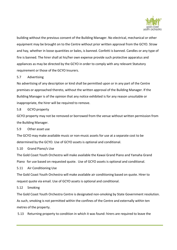

building without the previous consent of the Building Manager. No electrical, mechanical or other equipment may be brought on to the Centre without prior written approval from the GCYO. Straw and hay, whether in loose quantities or bales, is banned. Confetti is banned. Candles or any type of fire is banned. The hirer shall at his/her own expense provide such protective apparatus and appliances as may be directed by the GCYO in order to comply with any relevant Statutory requirement or those of the GCYO Insurers.

5.7 Advertising

No advertising of any description or kind shall be permitted upon or in any part of the Centre premises or approached thereto, without the written approval of the Building Manager. If the Building Manager is of the opinion that any notice exhibited is for any reason unsuitable or inappropriate, the hirer will be required to remove.

5.8 GCYO property

GCYO property may not be removed or borrowed from the venue without written permission from the Building Manager.

5.9 Other asset use

The GCYO may make available music or non-music assets for use at a separate cost to be determined by the GCYO. Use of GCYO assets is optional and conditional.

5.10 Grand Piano/s Use

The Gold Coast Youth Orchestra will make available the Kawai Grand Piano and Yamaha Grand Piano for use based on requested quote. Use of GCYO assets is optional and conditional.

5.11 Air Conditioning Use

The Gold Coast Youth Orchestra will make available air conditioning based on quote. Hirer to request quote via email. Use of GCYO assets is optional and conditional.

5.12 Smoking

The Gold Coast Youth Orchestra Centre is designated non-smoking by State Government resolution. As such, smoking is not permitted within the confines of the Centre and externally within ten metres of the property.

5.13 Returning property to condition in which it was found: hirers are required to leave the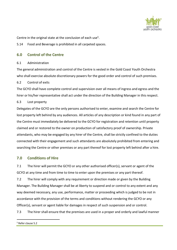

Centre in the original state at the conclusion of each use<sup>[5](#page-6-2)</sup>.

5.14 Food and Beverage is prohibited in all carpeted spaces.

# <span id="page-6-0"></span>**6.0 Control of the Centre**

#### 6.1 Administration

The general administration and control of the Centre is vested in the Gold Coast Youth Orchestra who shall exercise absolute discretionary powers for the good order and control of such premises.

### 6.2 Control of exits

The GCYO shall have complete control and supervision over all means of ingress and egress and the hirer or his/her representative shall act under the direction of the Building Manager in this respect.

### 6.3 Lost property

Delegates of the GCYO are the only persons authorised to enter, examine and search the Centre for lost property left behind by any audiences. All articles of any description or kind found in any part of the Centre must immediately be delivered to the GCYO for registration and retention until property claimed and or restored to the owner on production of satisfactory proof of ownership. Private attendants, who may be engaged by any hirer of the Centre, shall be strictly confined to the duties connected with their engagement and such attendants are absolutely prohibited from entering and searching the Centre or other premises or any part thereof for lost property left behind after a hire.

# <span id="page-6-1"></span>**7.0 Conditions of Hire**

7.1 The hirer will permit the GCYO or any other authorised officer(s), servant or agent of the GCYO at any time and from time to time to enter upon the premises or any part thereof.

7.2 The hirer will comply with any requirement or direction made or given by the Building Manager. The Building Manager shall be at liberty to suspend and or control to any extent and any way deemed necessary, any use, performance, matter or proceeding which is judged to be not in accordance with the provision of the terms and conditions without rendering the GCYO or any Officer(s), servant or agent liable for damages in respect of such suspension and or control.

7.3 The hirer shall ensure that the premises are used in a proper and orderly and lawful manner

<span id="page-6-2"></span><sup>5</sup> Refer clause 5.2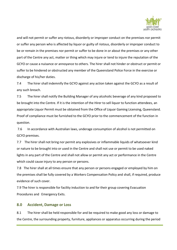

and will not permit or suffer any riotous, disorderly or improper conduct on the premises nor permit or suffer any person who is affected by liquor or guilty of riotous, disorderly or improper conduct to be or remain in the premises nor permit or suffer to be done in or about the premises or any other part of the Centre any act, matter or thing which may injure or tend to injure the reputation of the GCYO or cause a nuisance or annoyance to others. The hirer shall not hinder or obstruct or permit or suffer to be hindered or obstructed any member of the Queensland Police Force in the exercise or discharge of his/her duties.

7.4 The hirer shall indemnify the GCYO against any action taken against the GCYO as a result of any such breach.

7.5 The hirer shall notify the Building Manager of any alcoholic beverage of any kind proposed to be brought into the Centre. If it is the intention of the Hirer to sell liquor to function attendees, an appropriate Liquor Permit must be obtained from the Office of Liquor Gaming Licensing, Queensland. Proof of compliance must be furnished to the GCYO prior to the commencement of the function in question.

7.6 In accordance with Australian laws, underage consumption of alcohol is not permitted on GCYO premises.

7.7 The hirer shall not bring nor permit any explosives or inflammable liquids of whatsoever kind or nature to be brought into or used in the Centre and shall not use or permit to be used naked lights in any part of the Centre and shall not allow or permit any act or performance in the Centre which could cause injury to any person or persons.

7.8 The hirer shall at all times ensure that any person or persons engaged or employed by him on the premises shall be fully covered by a Workers Compensation Policy and shall, if required, produce evidence of such cover.

7.9 The hirer is responsible for facility induction to and for their group covering Evacuation Procedures and Emergency Exits.

#### <span id="page-7-0"></span>**8.0 Accident, Damage or Loss**

8.1 The hirer shall be held responsible for and be required to make good any loss or damage to the Centre, the surrounding property, furniture, appliances or apparatus occurring during the period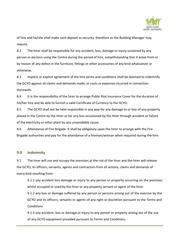

of hire and he/she shall make such deposit as security, therefore as the Building Manager may require.

8.2 The hirer shall be responsible for any accident, loss, damage or injury sustained by any person or persons using the Centre during the period of hire, notwithstanding that it arose from or by reason of any defect in the furniture, fittings or other accessories of any kind whatsoever or otherwise.

8.3 Implicit or explicit agreement of the hire terms and conditions shall be deemed to indemnify the GCYO against all claims and demands made, or costs or expenses incurred in connection therewith.

8.4 It is the responsibility of the hirer to arrange Public Risk Insurance Cover for the duration of his/her hire and be able to furnish a valid Certificate of Currency to the GCYO.

8.5 The GCYO shall not be held responsible in any way for any damage to or loss of any property placed in the Centre by the Hirer or for any loss occasioned by the Hirer through accident or failure of the electricity or other plant by any unavoidable cause.

8.6 Attendance of Fire Brigade. It shall be obligatory upon the hirer to arrange with the Fire Brigade authorities and pay for the attendance of a fireman/woman when required during the hire.

### <span id="page-8-0"></span>**9.0 Indemnity**

9.1 The hirer will use and occupy the premises at the risk of the hirer and the hirer will release the GCYO, its officers, servants, agents and contractors from all actions, claims and demands of every kind resulting from:

9.1.1 any accident loss damage or injury to any person or property occurring on the premises whilst occupied or used by the hirer or any property servant or agent of the hirer.

9.1.2 any loss or damage suffered by any person or persons arising out of the exercise by the GCYO and its officers, servants or agents of any right or discretion pursuant to the Terms and **Conditions** 

9.1.3 any accident, loss or damage or injury to any person or property arising out of the use of any GCYO equipment provided pursuant to Terms and Conditions.